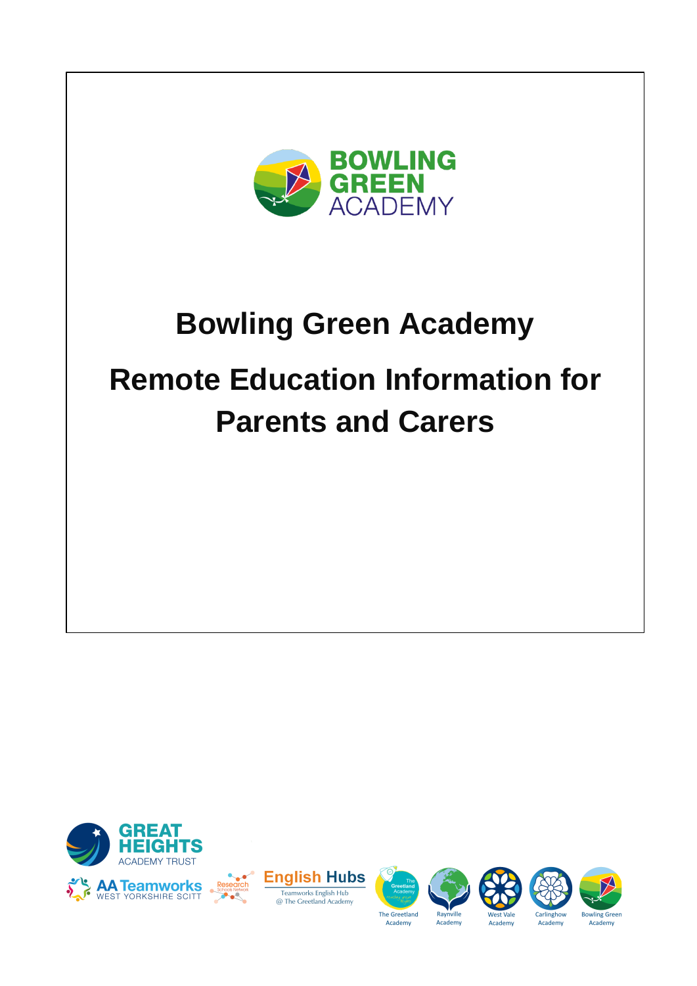

# **Bowling Green Academy Remote Education Information for Parents and Carers**













Carlinghow

Academy

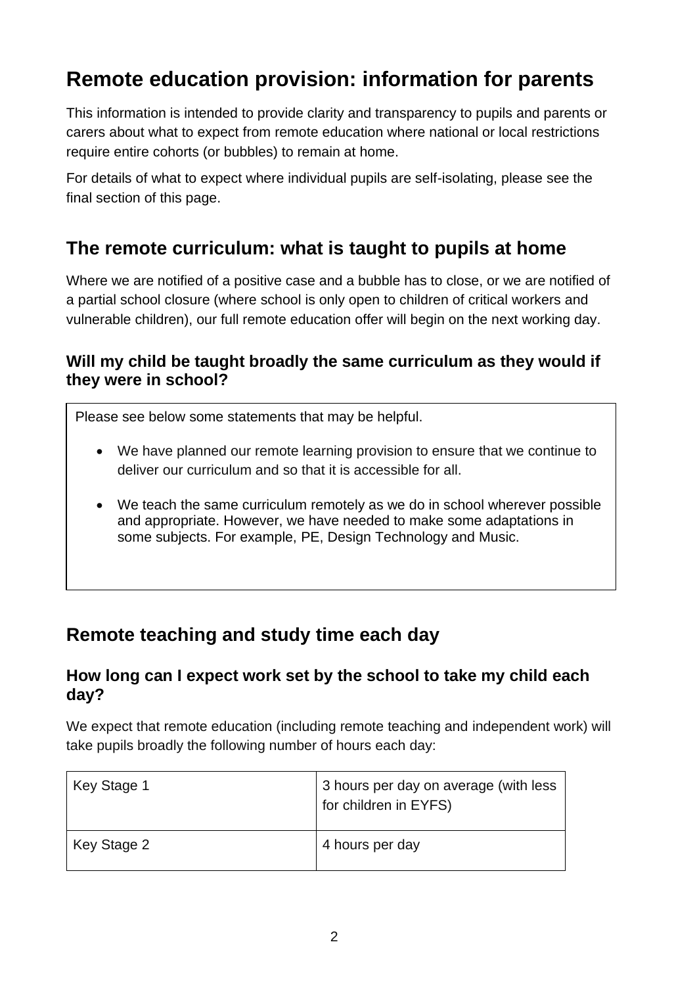# **Remote education provision: information for parents**

This information is intended to provide clarity and transparency to pupils and parents or carers about what to expect from remote education where national or local restrictions require entire cohorts (or bubbles) to remain at home.

For details of what to expect where individual pupils are self-isolating, please see the final section of this page.

# **The remote curriculum: what is taught to pupils at home**

Where we are notified of a positive case and a bubble has to close, or we are notified of a partial school closure (where school is only open to children of critical workers and vulnerable children), our full remote education offer will begin on the next working day.

## **Will my child be taught broadly the same curriculum as they would if they were in school?**

Please see below some statements that may be helpful.

- We have planned our remote learning provision to ensure that we continue to deliver our curriculum and so that it is accessible for all.
- We teach the same curriculum remotely as we do in school wherever possible and appropriate. However, we have needed to make some adaptations in some subjects. For example, PE, Design Technology and Music.

# **Remote teaching and study time each day**

## **How long can I expect work set by the school to take my child each day?**

We expect that remote education (including remote teaching and independent work) will take pupils broadly the following number of hours each day:

| Key Stage 1 | 3 hours per day on average (with less<br>for children in EYFS) |
|-------------|----------------------------------------------------------------|
| Key Stage 2 | 4 hours per day                                                |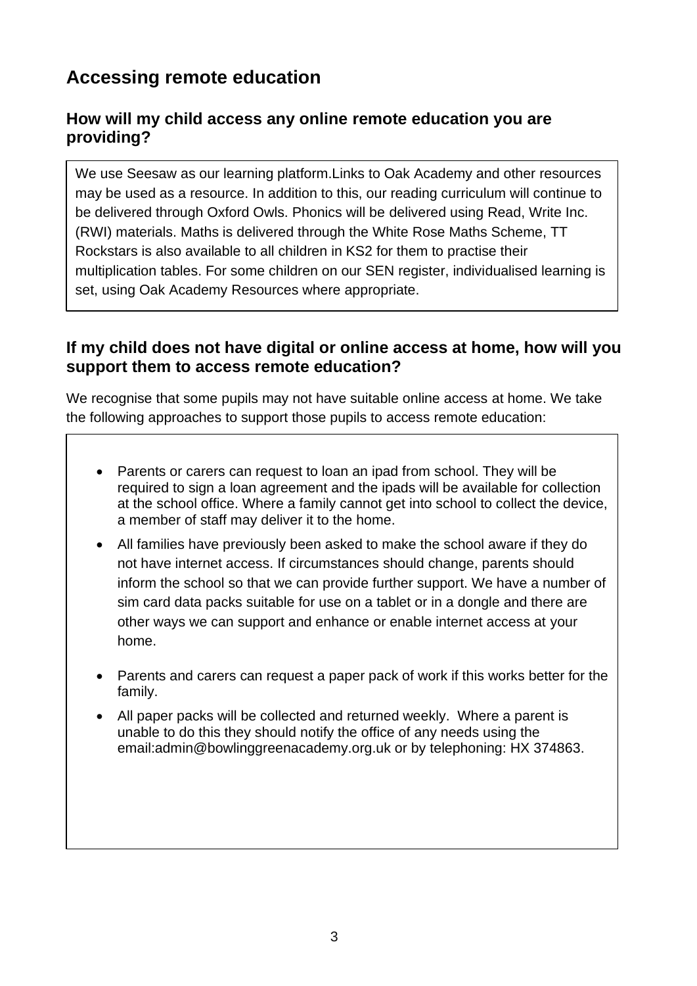# **Accessing remote education**

## **How will my child access any online remote education you are providing?**

We use Seesaw as our learning platform.Links to Oak Academy and other resources may be used as a resource. In addition to this, our reading curriculum will continue to be delivered through Oxford Owls. Phonics will be delivered using Read, Write Inc. (RWI) materials. Maths is delivered through the White Rose Maths Scheme, TT Rockstars is also available to all children in KS2 for them to practise their multiplication tables. For some children on our SEN register, individualised learning is set, using Oak Academy Resources where appropriate.

## **If my child does not have digital or online access at home, how will you support them to access remote education?**

We recognise that some pupils may not have suitable online access at home. We take the following approaches to support those pupils to access remote education:

- Parents or carers can request to loan an ipad from school. They will be required to sign a loan agreement and the ipads will be available for collection at the school office. Where a family cannot get into school to collect the device, a member of staff may deliver it to the home.
- All families have previously been asked to make the school aware if they do not have internet access. If circumstances should change, parents should inform the school so that we can provide further support. We have a number of sim card data packs suitable for use on a tablet or in a dongle and there are other ways we can support and enhance or enable internet access at your home.
- Parents and carers can request a paper pack of work if this works better for the family.
- All paper packs will be collected and returned weekly. Where a parent is unable to do this they should notify the office of any needs using the email:admin@bowlinggreenacademy.org.uk or by telephoning: HX 374863.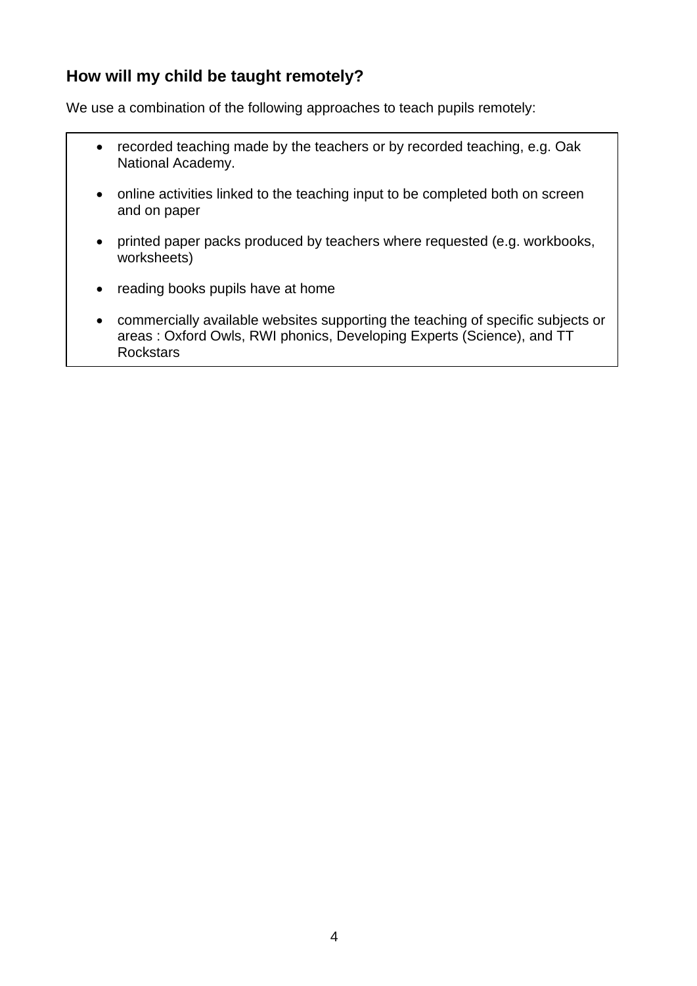# **How will my child be taught remotely?**

We use a combination of the following approaches to teach pupils remotely:

- recorded teaching made by the teachers or by recorded teaching, e.g. Oak National Academy.
- online activities linked to the teaching input to be completed both on screen and on paper
- printed paper packs produced by teachers where requested (e.g. workbooks, worksheets)
- reading books pupils have at home
- commercially available websites supporting the teaching of specific subjects or areas : Oxford Owls, RWI phonics, Developing Experts (Science), and TT **Rockstars**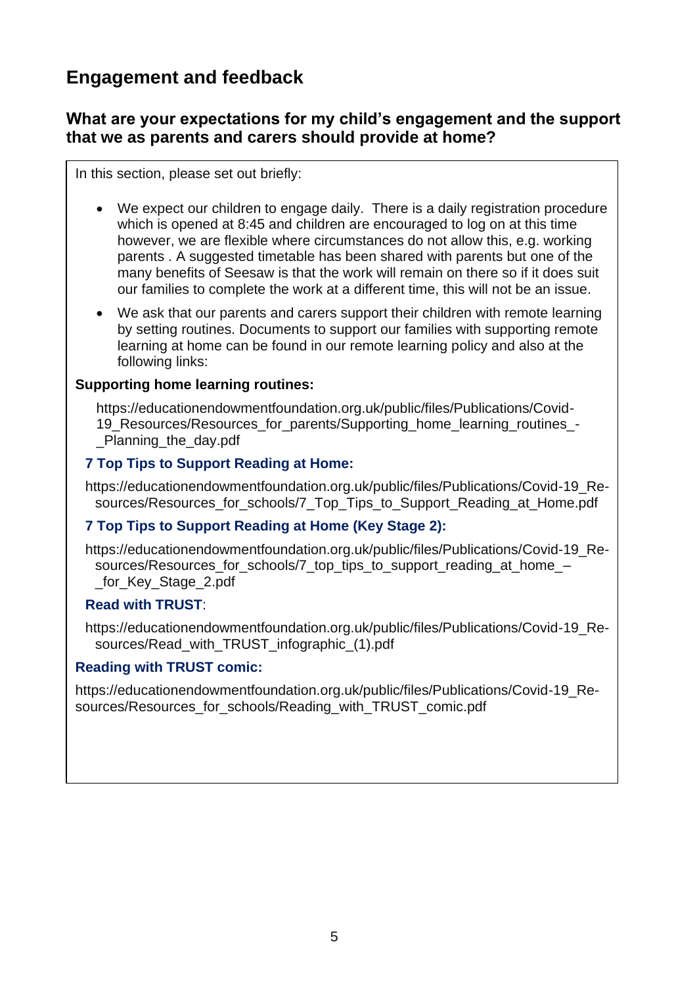# **Engagement and feedback**

## **What are your expectations for my child's engagement and the support that we as parents and carers should provide at home?**

In this section, please set out briefly:

- We expect our children to engage daily. There is a daily registration procedure which is opened at 8:45 and children are encouraged to log on at this time however, we are flexible where circumstances do not allow this, e.g. working parents . A suggested timetable has been shared with parents but one of the many benefits of Seesaw is that the work will remain on there so if it does suit our families to complete the work at a different time, this will not be an issue.
- We ask that our parents and carers support their children with remote learning by setting routines. Documents to support our families with supporting remote learning at home can be found in our remote learning policy and also at the following links:

#### **Supporting home learning routines:**

[https://educationendowmentfoundation.org.uk/public/files/Publications/Covid-](https://educationendowmentfoundation.org.uk/public/files/Publications/Covid-19_Resources/Resources_for_parents/Supporting_home_learning_routines_-_Planning_the_day.pdf)[19\\_Resources/Resources\\_for\\_parents/Supporting\\_home\\_learning\\_routines\\_-](https://educationendowmentfoundation.org.uk/public/files/Publications/Covid-19_Resources/Resources_for_parents/Supporting_home_learning_routines_-_Planning_the_day.pdf) [\\_Planning\\_the\\_day.pdf](https://educationendowmentfoundation.org.uk/public/files/Publications/Covid-19_Resources/Resources_for_parents/Supporting_home_learning_routines_-_Planning_the_day.pdf)

#### **7 Top Tips to Support Reading at Home:**

[https://educationendowmentfoundation.org.uk/public/files/Publications/Covid-19\\_Re](https://educationendowmentfoundation.org.uk/public/files/Publications/Covid-19_Resources/Resources_for_schools/7_Top_Tips_to_Support_Reading_at_Home.pdf)[sources/Resources\\_for\\_schools/7\\_Top\\_Tips\\_to\\_Support\\_Reading\\_at\\_Home.pdf](https://educationendowmentfoundation.org.uk/public/files/Publications/Covid-19_Resources/Resources_for_schools/7_Top_Tips_to_Support_Reading_at_Home.pdf)

#### **7 Top Tips to Support Reading at Home (Key Stage 2):**

[https://educationendowmentfoundation.org.uk/public/files/Publications/Covid-19\\_Re](https://educationendowmentfoundation.org.uk/public/files/Publications/Covid-19_Resources/Resources_for_schools/7_top_tips_to_support_reading_at_home_–_for_Key_Stage_2.pdf)[sources/Resources\\_for\\_schools/7\\_top\\_tips\\_to\\_support\\_reading\\_at\\_home\\_–](https://educationendowmentfoundation.org.uk/public/files/Publications/Covid-19_Resources/Resources_for_schools/7_top_tips_to_support_reading_at_home_–_for_Key_Stage_2.pdf) [\\_for\\_Key\\_Stage\\_2.pdf](https://educationendowmentfoundation.org.uk/public/files/Publications/Covid-19_Resources/Resources_for_schools/7_top_tips_to_support_reading_at_home_–_for_Key_Stage_2.pdf)

#### **Read with TRUST**:

[https://educationendowmentfoundation.org.uk/public/files/Publications/Covid-19\\_Re](https://educationendowmentfoundation.org.uk/public/files/Publications/Covid-19_Resources/Read_with_TRUST_infographic_(1).pdf)[sources/Read\\_with\\_TRUST\\_infographic\\_\(1\).pdf](https://educationendowmentfoundation.org.uk/public/files/Publications/Covid-19_Resources/Read_with_TRUST_infographic_(1).pdf)

#### **Reading with TRUST comic:**

[https://educationendowmentfoundation.org.uk/public/files/Publications/Covid-19\\_Re](https://educationendowmentfoundation.org.uk/public/files/Publications/Covid-19_Resources/Resources_for_schools/Reading_with_TRUST_comic.pdf)[sources/Resources\\_for\\_schools/Reading\\_with\\_TRUST\\_comic.pdf](https://educationendowmentfoundation.org.uk/public/files/Publications/Covid-19_Resources/Resources_for_schools/Reading_with_TRUST_comic.pdf)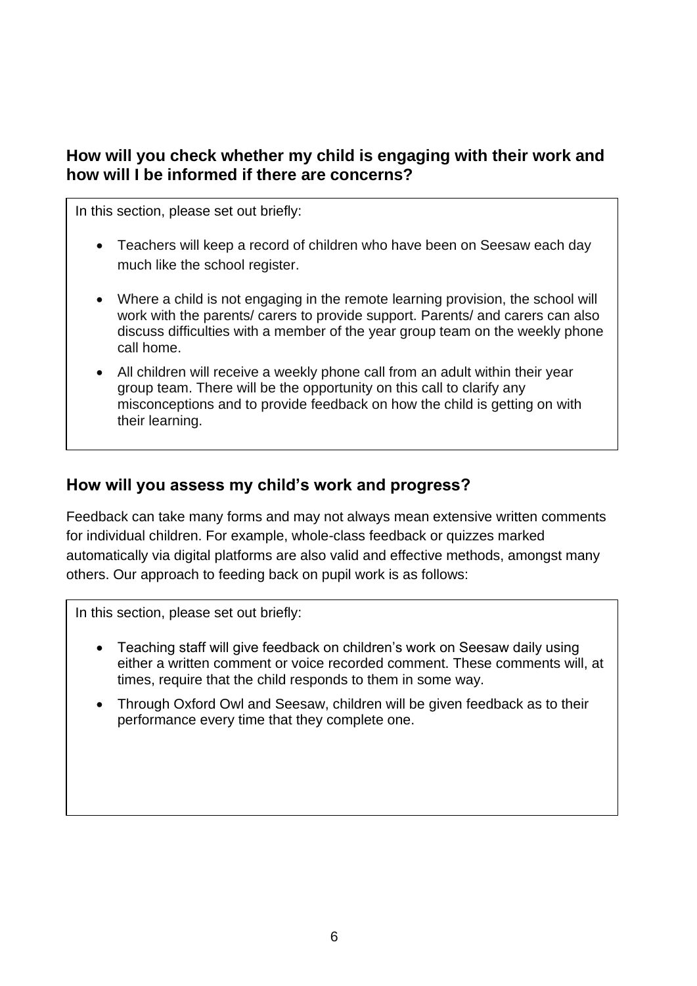# **How will you check whether my child is engaging with their work and how will I be informed if there are concerns?**

In this section, please set out briefly:

- Teachers will keep a record of children who have been on Seesaw each day much like the school register.
- Where a child is not engaging in the remote learning provision, the school will work with the parents/ carers to provide support. Parents/ and carers can also discuss difficulties with a member of the year group team on the weekly phone call home.
- All children will receive a weekly phone call from an adult within their year group team. There will be the opportunity on this call to clarify any misconceptions and to provide feedback on how the child is getting on with their learning.

## **How will you assess my child's work and progress?**

Feedback can take many forms and may not always mean extensive written comments for individual children. For example, whole-class feedback or quizzes marked automatically via digital platforms are also valid and effective methods, amongst many others. Our approach to feeding back on pupil work is as follows:

In this section, please set out briefly:

- Teaching staff will give feedback on children's work on Seesaw daily using either a written comment or voice recorded comment. These comments will, at times, require that the child responds to them in some way.
- Through Oxford Owl and Seesaw, children will be given feedback as to their performance every time that they complete one.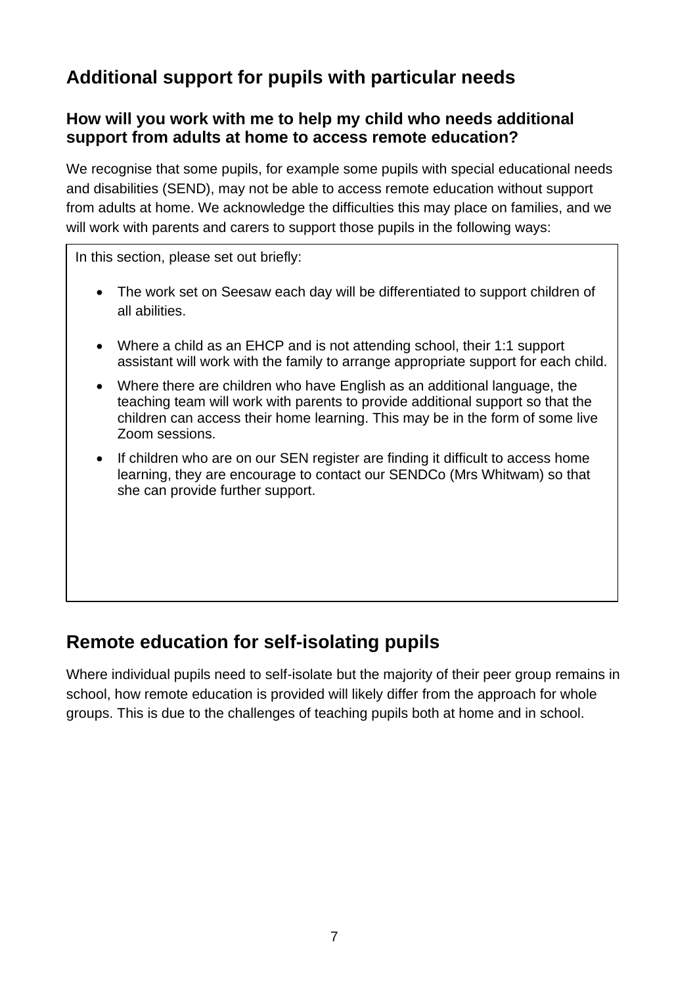# **Additional support for pupils with particular needs**

## **How will you work with me to help my child who needs additional support from adults at home to access remote education?**

We recognise that some pupils, for example some pupils with special educational needs and disabilities (SEND), may not be able to access remote education without support from adults at home. We acknowledge the difficulties this may place on families, and we will work with parents and carers to support those pupils in the following ways:

In this section, please set out briefly:

- The work set on Seesaw each day will be differentiated to support children of all abilities.
- Where a child as an EHCP and is not attending school, their 1:1 support assistant will work with the family to arrange appropriate support for each child.
- Where there are children who have English as an additional language, the teaching team will work with parents to provide additional support so that the children can access their home learning. This may be in the form of some live Zoom sessions.
- If children who are on our SEN register are finding it difficult to access home learning, they are encourage to contact our SENDCo (Mrs Whitwam) so that she can provide further support.

# **Remote education for self-isolating pupils**

Where individual pupils need to self-isolate but the majority of their peer group remains in school, how remote education is provided will likely differ from the approach for whole groups. This is due to the challenges of teaching pupils both at home and in school.